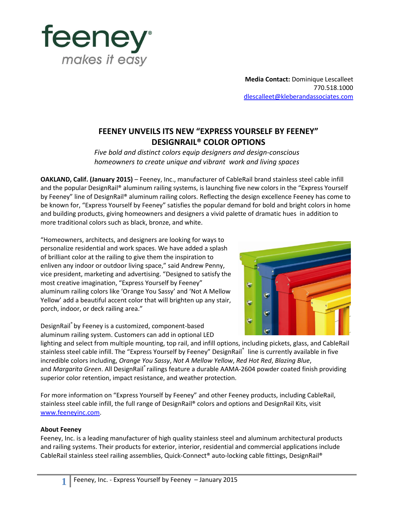

**Media Contact:** Dominique Lescalleet 770.518.1000 [dlescalleet@kleberandassociates.com](mailto:dlescalleet@kleberandassociates.com)

## **FEENEY UNVEILS ITS NEW "EXPRESS YOURSELF BY FEENEY" DESIGNRAIL® COLOR OPTIONS**

*Five bold and distinct colors equip designers and design-conscious homeowners to create unique and vibrant work and living spaces*

**OAKLAND, Calif. (January 2015)** – Feeney, Inc., manufacturer of CableRail brand stainless steel cable infill and the popular DesignRail® aluminum railing systems, is launching five new colors in the "Express Yourself by Feeney" line of DesignRail® aluminum railing colors. Reflecting the design excellence Feeney has come to be known for, "Express Yourself by Feeney" satisfies the popular demand for bold and bright colors in home and building products, giving homeowners and designers a vivid palette of dramatic hues in addition to more traditional colors such as black, bronze, and white.

"Homeowners, architects, and designers are looking for ways to personalize residential and work spaces. We have added a splash of brilliant color at the railing to give them the inspiration to enliven any indoor or outdoor living space," said Andrew Penny, vice president, marketing and advertising. "Designed to satisfy the most creative imagination, "Express Yourself by Feeney" aluminum railing colors like 'Orange You Sassy' and 'Not A Mellow Yellow' add a beautiful accent color that will brighten up any stair, porch, indoor, or deck railing area."

DesignRail® by Feeney is a customized, component-based aluminum railing system. Customers can add in optional LED

lighting and select from multiple mounting, top rail, and infill options, including pickets, glass, and CableRail stainless steel cable infill. The "Express Yourself by Feeney" DesignRail® line is currently available in five incredible colors including, *Orange You Sassy*, *Not A Mellow Yellow*, *Red Hot Red*, *Blazing Blue*, and *Margarita Green*. All DesignRail<sup>®</sup> railings feature a durable AAMA-2604 powder coated finish providing superior color retention, impact resistance, and weather protection.

For more information on "Express Yourself by Feeney" and other Feeney products, including CableRail, stainless steel cable infill, the full range of DesignRail® colors and options and DesignRail Kits, visit [www.feeneyinc.com.](http://www.feeneyinc.com/)

## **About Feeney**

Feeney, Inc. is a leading manufacturer of high quality stainless steel and aluminum architectural products and railing systems. Their products for exterior, interior, residential and commercial applications include CableRail stainless steel railing assemblies, Quick-Connect® auto-locking cable fittings, DesignRail®